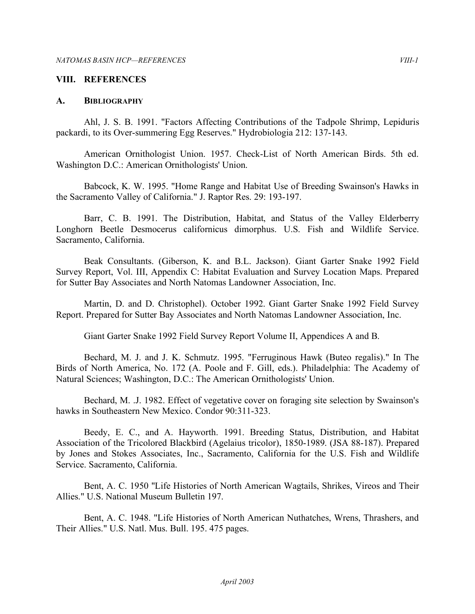#### **VIII. REFERENCES**

#### **A. BIBLIOGRAPHY**

 Ahl, J. S. B. 1991. "Factors Affecting Contributions of the Tadpole Shrimp, Lepiduris packardi, to its Over-summering Egg Reserves." Hydrobiologia 212: 137-143.

 American Ornithologist Union. 1957. Check-List of North American Birds. 5th ed. Washington D.C.: American Ornithologists' Union.

 Babcock, K. W. 1995. "Home Range and Habitat Use of Breeding Swainson's Hawks in the Sacramento Valley of California." J. Raptor Res. 29: 193-197.

 Barr, C. B. 1991. The Distribution, Habitat, and Status of the Valley Elderberry Longhorn Beetle Desmocerus californicus dimorphus. U.S. Fish and Wildlife Service. Sacramento, California.

 Beak Consultants. (Giberson, K. and B.L. Jackson). Giant Garter Snake 1992 Field Survey Report, Vol. III, Appendix C: Habitat Evaluation and Survey Location Maps. Prepared for Sutter Bay Associates and North Natomas Landowner Association, Inc.

 Martin, D. and D. Christophel). October 1992. Giant Garter Snake 1992 Field Survey Report. Prepared for Sutter Bay Associates and North Natomas Landowner Association, Inc.

Giant Garter Snake 1992 Field Survey Report Volume II, Appendices A and B.

 Bechard, M. J. and J. K. Schmutz. 1995. "Ferruginous Hawk (Buteo regalis)." In The Birds of North America, No. 172 (A. Poole and F. Gill, eds.). Philadelphia: The Academy of Natural Sciences; Washington, D.C.: The American Ornithologists' Union.

 Bechard, M. .J. 1982. Effect of vegetative cover on foraging site selection by Swainson's hawks in Southeastern New Mexico. Condor 90:311-323.

 Beedy, E. C., and A. Hayworth. 1991. Breeding Status, Distribution, and Habitat Association of the Tricolored Blackbird (Agelaius tricolor), 1850-1989. (JSA 88-187). Prepared by Jones and Stokes Associates, Inc., Sacramento, California for the U.S. Fish and Wildlife Service. Sacramento, California.

 Bent, A. C. 1950 "Life Histories of North American Wagtails, Shrikes, Vireos and Their Allies." U.S. National Museum Bulletin 197.

 Bent, A. C. 1948. "Life Histories of North American Nuthatches, Wrens, Thrashers, and Their Allies." U.S. Natl. Mus. Bull. 195. 475 pages.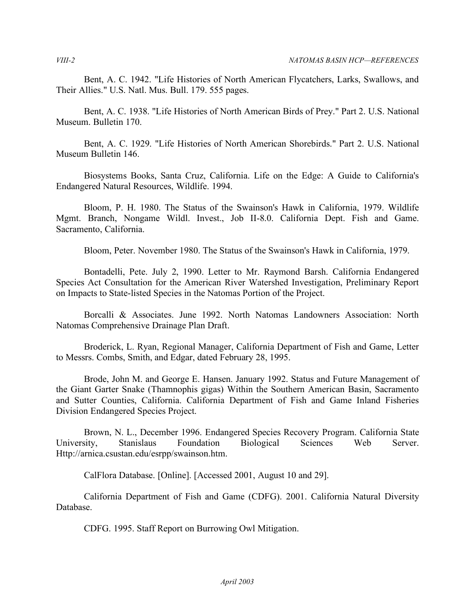Bent, A. C. 1942. "Life Histories of North American Flycatchers, Larks, Swallows, and Their Allies." U.S. Natl. Mus. Bull. 179. 555 pages.

 Bent, A. C. 1938. "Life Histories of North American Birds of Prey." Part 2. U.S. National Museum. Bulletin 170.

 Bent, A. C. 1929. "Life Histories of North American Shorebirds." Part 2. U.S. National Museum Bulletin 146.

 Biosystems Books, Santa Cruz, California. Life on the Edge: A Guide to California's Endangered Natural Resources, Wildlife. 1994.

 Bloom, P. H. 1980. The Status of the Swainson's Hawk in California, 1979. Wildlife Mgmt. Branch, Nongame Wildl. Invest., Job II-8.0. California Dept. Fish and Game. Sacramento, California.

Bloom, Peter. November 1980. The Status of the Swainson's Hawk in California, 1979.

 Bontadelli, Pete. July 2, 1990. Letter to Mr. Raymond Barsh. California Endangered Species Act Consultation for the American River Watershed Investigation, Preliminary Report on Impacts to State-listed Species in the Natomas Portion of the Project.

 Borcalli & Associates. June 1992. North Natomas Landowners Association: North Natomas Comprehensive Drainage Plan Draft.

 Broderick, L. Ryan, Regional Manager, California Department of Fish and Game, Letter to Messrs. Combs, Smith, and Edgar, dated February 28, 1995.

 Brode, John M. and George E. Hansen. January 1992. Status and Future Management of the Giant Garter Snake (Thamnophis gigas) Within the Southern American Basin, Sacramento and Sutter Counties, California. California Department of Fish and Game Inland Fisheries Division Endangered Species Project.

 Brown, N. L., December 1996. Endangered Species Recovery Program. California State University, Stanislaus Foundation Biological Sciences Web Server. Http://arnica.csustan.edu/esrpp/swainson.htm.

CalFlora Database. [Online]. [Accessed 2001, August 10 and 29].

 California Department of Fish and Game (CDFG). 2001. California Natural Diversity Database.

CDFG. 1995. Staff Report on Burrowing Owl Mitigation.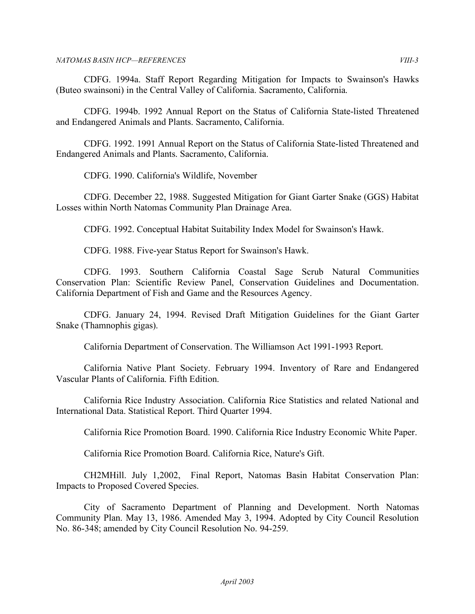CDFG. 1994a. Staff Report Regarding Mitigation for Impacts to Swainson's Hawks (Buteo swainsoni) in the Central Valley of California. Sacramento, California.

 CDFG. 1994b. 1992 Annual Report on the Status of California State-listed Threatened and Endangered Animals and Plants. Sacramento, California.

 CDFG. 1992. 1991 Annual Report on the Status of California State-listed Threatened and Endangered Animals and Plants. Sacramento, California.

CDFG. 1990. California's Wildlife, November

 CDFG. December 22, 1988. Suggested Mitigation for Giant Garter Snake (GGS) Habitat Losses within North Natomas Community Plan Drainage Area.

CDFG. 1992. Conceptual Habitat Suitability Index Model for Swainson's Hawk.

CDFG. 1988. Five-year Status Report for Swainson's Hawk.

 CDFG. 1993. Southern California Coastal Sage Scrub Natural Communities Conservation Plan: Scientific Review Panel, Conservation Guidelines and Documentation. California Department of Fish and Game and the Resources Agency.

 CDFG. January 24, 1994. Revised Draft Mitigation Guidelines for the Giant Garter Snake (Thamnophis gigas).

California Department of Conservation. The Williamson Act 1991-1993 Report.

 California Native Plant Society. February 1994. Inventory of Rare and Endangered Vascular Plants of California. Fifth Edition.

 California Rice Industry Association. California Rice Statistics and related National and International Data. Statistical Report. Third Quarter 1994.

California Rice Promotion Board. 1990. California Rice Industry Economic White Paper.

California Rice Promotion Board. California Rice, Nature's Gift.

 CH2MHill. July 1,2002, Final Report, Natomas Basin Habitat Conservation Plan: Impacts to Proposed Covered Species.

 City of Sacramento Department of Planning and Development. North Natomas Community Plan. May 13, 1986. Amended May 3, 1994. Adopted by City Council Resolution No. 86-348; amended by City Council Resolution No. 94-259.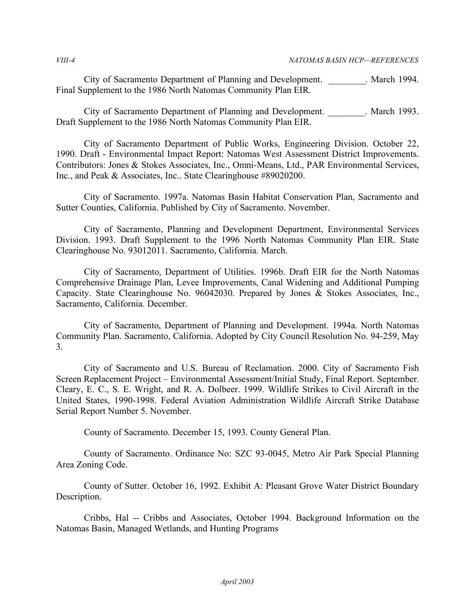City of Sacramento Department of Planning and Development. \_\_\_\_\_\_\_\_. March 1994. Final Supplement to the 1986 North Natomas Community Plan EIR.

 City of Sacramento Department of Planning and Development. \_\_\_\_\_\_\_\_. March 1993. Draft Supplement to the 1986 North Natomas Community Plan EIR.

 City of Sacramento Department of Public Works, Engineering Division. October 22, 1990. Draft - Environmental Impact Report: Natomas West Assessment District Improvements. Contributors: Jones & Stokes Associates, Inc., Omni-Means, Ltd., PAR Environmental Services, Inc., and Peak & Associates, Inc.. State Clearinghouse #89020200.

 City of Sacramento. 1997a. Natomas Basin Habitat Conservation Plan, Sacramento and Sutter Counties, California. Published by City of Sacramento. November.

 City of Sacramento, Planning and Development Department, Environmental Services Division. 1993. Draft Supplement to the 1996 North Natomas Community Plan EIR. State Clearinghouse No. 93012011. Sacramento, California. March.

 City of Sacramento, Department of Utilities. 1996b. Draft EIR for the North Natomas Comprehensive Drainage Plan, Levee Improvements, Canal Widening and Additional Pumping Capacity. State Clearinghouse No. 96042030. Prepared by Jones & Stokes Associates, Inc., Sacramento, California. December.

 City of Sacramento, Department of Planning and Development. 1994a. North Natomas Community Plan. Sacramento, California. Adopted by City Council Resolution No. 94-259, May 3.

 City of Sacramento and U.S. Bureau of Reclamation. 2000. City of Sacramento Fish Screen Replacement Project – Environmental Assessment/Initial Study, Final Report. September. Cleary, E. C., S. E. Wright, and R. A. Dolbeer. 1999. Wildlife Strikes to Civil Aircraft in the United States, 1990-1998. Federal Aviation Administration Wildlife Aircraft Strike Database Serial Report Number 5. November.

County of Sacramento. December 15, 1993. County General Plan.

 County of Sacramento. Ordinance No: SZC 93-0045, Metro Air Park Special Planning Area Zoning Code.

 County of Sutter. October 16, 1992. Exhibit A: Pleasant Grove Water District Boundary Description.

 Cribbs, Hal -- Cribbs and Associates, October 1994. Background Information on the Natomas Basin, Managed Wetlands, and Hunting Programs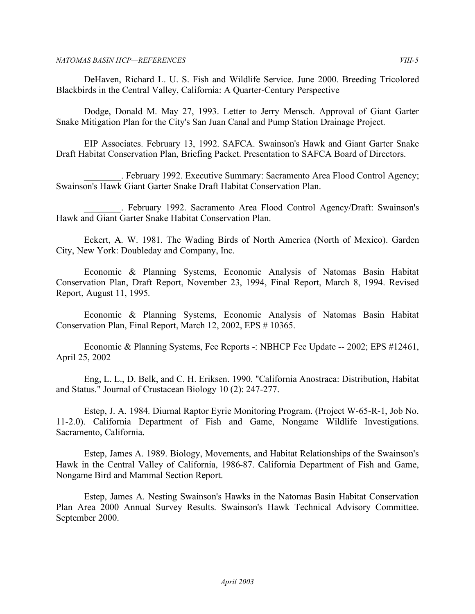DeHaven, Richard L. U. S. Fish and Wildlife Service. June 2000. Breeding Tricolored Blackbirds in the Central Valley, California: A Quarter-Century Perspective

 Dodge, Donald M. May 27, 1993. Letter to Jerry Mensch. Approval of Giant Garter Snake Mitigation Plan for the City's San Juan Canal and Pump Station Drainage Project.

 EIP Associates. February 13, 1992. SAFCA. Swainson's Hawk and Giant Garter Snake Draft Habitat Conservation Plan, Briefing Packet. Presentation to SAFCA Board of Directors.

 \_\_\_\_\_\_\_\_. February 1992. Executive Summary: Sacramento Area Flood Control Agency; Swainson's Hawk Giant Garter Snake Draft Habitat Conservation Plan.

 \_\_\_\_\_\_\_\_. February 1992. Sacramento Area Flood Control Agency/Draft: Swainson's Hawk and Giant Garter Snake Habitat Conservation Plan.

 Eckert, A. W. 1981. The Wading Birds of North America (North of Mexico). Garden City, New York: Doubleday and Company, Inc.

 Economic & Planning Systems, Economic Analysis of Natomas Basin Habitat Conservation Plan, Draft Report, November 23, 1994, Final Report, March 8, 1994. Revised Report, August 11, 1995.

 Economic & Planning Systems, Economic Analysis of Natomas Basin Habitat Conservation Plan, Final Report, March 12, 2002, EPS # 10365.

 Economic & Planning Systems, Fee Reports -: NBHCP Fee Update -- 2002; EPS #12461, April 25, 2002

 Eng, L. L., D. Belk, and C. H. Eriksen. 1990. "California Anostraca: Distribution, Habitat and Status." Journal of Crustacean Biology 10 (2): 247-277.

 Estep, J. A. 1984. Diurnal Raptor Eyrie Monitoring Program. (Project W-65-R-1, Job No. 11-2.0). California Department of Fish and Game, Nongame Wildlife Investigations. Sacramento, California.

 Estep, James A. 1989. Biology, Movements, and Habitat Relationships of the Swainson's Hawk in the Central Valley of California, 1986-87. California Department of Fish and Game, Nongame Bird and Mammal Section Report.

 Estep, James A. Nesting Swainson's Hawks in the Natomas Basin Habitat Conservation Plan Area 2000 Annual Survey Results. Swainson's Hawk Technical Advisory Committee. September 2000.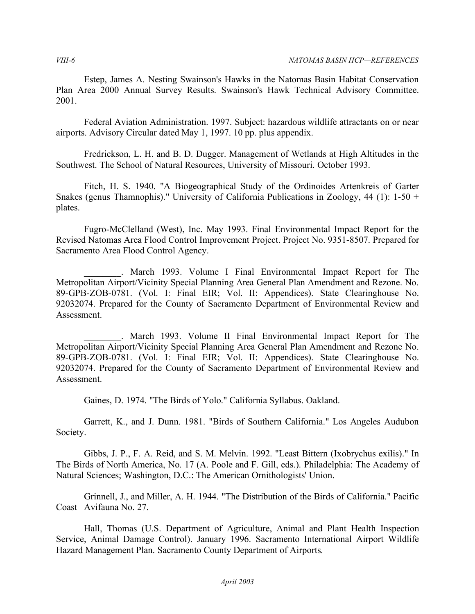Estep, James A. Nesting Swainson's Hawks in the Natomas Basin Habitat Conservation Plan Area 2000 Annual Survey Results. Swainson's Hawk Technical Advisory Committee. 2001.

 Federal Aviation Administration. 1997. Subject: hazardous wildlife attractants on or near airports. Advisory Circular dated May 1, 1997. 10 pp. plus appendix.

 Fredrickson, L. H. and B. D. Dugger. Management of Wetlands at High Altitudes in the Southwest. The School of Natural Resources, University of Missouri. October 1993.

 Fitch, H. S. 1940. "A Biogeographical Study of the Ordinoides Artenkreis of Garter Snakes (genus Thamnophis)." University of California Publications in Zoology, 44 (1): 1-50 + plates.

 Fugro-McClelland (West), Inc. May 1993. Final Environmental Impact Report for the Revised Natomas Area Flood Control Improvement Project. Project No. 9351-8507. Prepared for Sacramento Area Flood Control Agency.

 \_\_\_\_\_\_\_\_. March 1993. Volume I Final Environmental Impact Report for The Metropolitan Airport/Vicinity Special Planning Area General Plan Amendment and Rezone. No. 89-GPB-ZOB-0781. (Vol. I: Final EIR; Vol. II: Appendices). State Clearinghouse No. 92032074. Prepared for the County of Sacramento Department of Environmental Review and Assessment.

 \_\_\_\_\_\_\_\_. March 1993. Volume II Final Environmental Impact Report for The Metropolitan Airport/Vicinity Special Planning Area General Plan Amendment and Rezone No. 89-GPB-ZOB-0781. (Vol. I: Final EIR; Vol. II: Appendices). State Clearinghouse No. 92032074. Prepared for the County of Sacramento Department of Environmental Review and Assessment.

Gaines, D. 1974. "The Birds of Yolo." California Syllabus. Oakland.

 Garrett, K., and J. Dunn. 1981. "Birds of Southern California." Los Angeles Audubon Society.

 Gibbs, J. P., F. A. Reid, and S. M. Melvin. 1992. "Least Bittern (Ixobrychus exilis)." In The Birds of North America, No. 17 (A. Poole and F. Gill, eds.). Philadelphia: The Academy of Natural Sciences; Washington, D.C.: The American Ornithologists' Union.

 Grinnell, J., and Miller, A. H. 1944. "The Distribution of the Birds of California." Pacific Coast Avifauna No. 27.

 Hall, Thomas (U.S. Department of Agriculture, Animal and Plant Health Inspection Service, Animal Damage Control). January 1996. Sacramento International Airport Wildlife Hazard Management Plan. Sacramento County Department of Airports.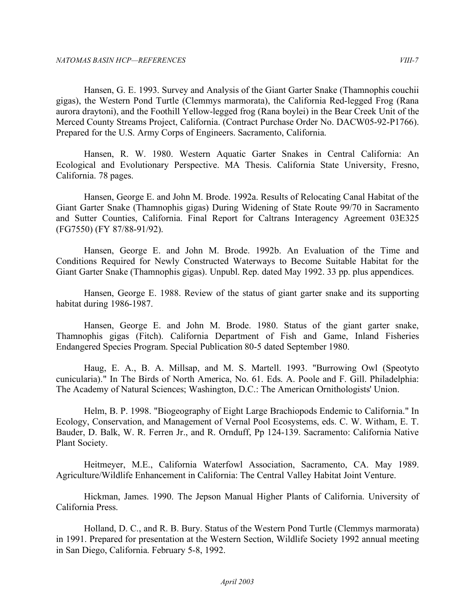Hansen, G. E. 1993. Survey and Analysis of the Giant Garter Snake (Thamnophis couchii gigas), the Western Pond Turtle (Clemmys marmorata), the California Red-legged Frog (Rana aurora draytoni), and the Foothill Yellow-legged frog (Rana boylei) in the Bear Creek Unit of the Merced County Streams Project, California. (Contract Purchase Order No. DACW05-92-P1766). Prepared for the U.S. Army Corps of Engineers. Sacramento, California.

 Hansen, R. W. 1980. Western Aquatic Garter Snakes in Central California: An Ecological and Evolutionary Perspective. MA Thesis. California State University, Fresno, California. 78 pages.

 Hansen, George E. and John M. Brode. 1992a. Results of Relocating Canal Habitat of the Giant Garter Snake (Thamnophis gigas) During Widening of State Route 99/70 in Sacramento and Sutter Counties, California. Final Report for Caltrans Interagency Agreement 03E325 (FG7550) (FY 87/88-91/92).

 Hansen, George E. and John M. Brode. 1992b. An Evaluation of the Time and Conditions Required for Newly Constructed Waterways to Become Suitable Habitat for the Giant Garter Snake (Thamnophis gigas). Unpubl. Rep. dated May 1992. 33 pp. plus appendices.

 Hansen, George E. 1988. Review of the status of giant garter snake and its supporting habitat during 1986-1987.

 Hansen, George E. and John M. Brode. 1980. Status of the giant garter snake, Thamnophis gigas (Fitch). California Department of Fish and Game, Inland Fisheries Endangered Species Program. Special Publication 80-5 dated September 1980.

 Haug, E. A., B. A. Millsap, and M. S. Martell. 1993. "Burrowing Owl (Speotyto cunicularia)." In The Birds of North America, No. 61. Eds. A. Poole and F. Gill. Philadelphia: The Academy of Natural Sciences; Washington, D.C.: The American Ornithologists' Union.

 Helm, B. P. 1998. "Biogeography of Eight Large Brachiopods Endemic to California." In Ecology, Conservation, and Management of Vernal Pool Ecosystems, eds. C. W. Witham, E. T. Bauder, D. Balk, W. R. Ferren Jr., and R. Ornduff, Pp 124-139. Sacramento: California Native Plant Society.

 Heitmeyer, M.E., California Waterfowl Association, Sacramento, CA. May 1989. Agriculture/Wildlife Enhancement in California: The Central Valley Habitat Joint Venture.

 Hickman, James. 1990. The Jepson Manual Higher Plants of California. University of California Press.

 Holland, D. C., and R. B. Bury. Status of the Western Pond Turtle (Clemmys marmorata) in 1991. Prepared for presentation at the Western Section, Wildlife Society 1992 annual meeting in San Diego, California. February 5-8, 1992.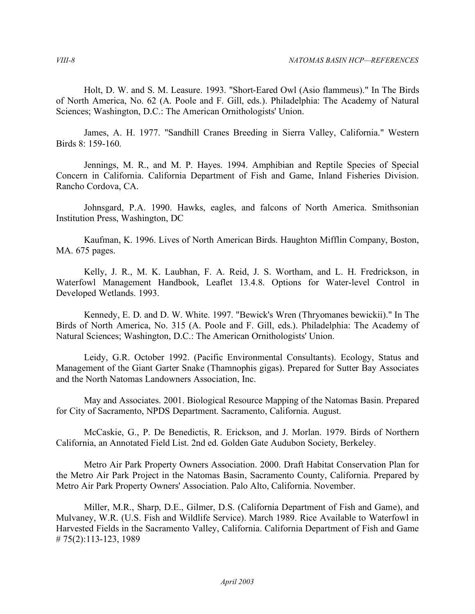Holt, D. W. and S. M. Leasure. 1993. "Short-Eared Owl (Asio flammeus)." In The Birds of North America, No. 62 (A. Poole and F. Gill, eds.). Philadelphia: The Academy of Natural Sciences; Washington, D.C.: The American Ornithologists' Union.

 James, A. H. 1977. "Sandhill Cranes Breeding in Sierra Valley, California." Western Birds 8: 159-160.

Jennings, M. R., and M. P. Hayes. 1994. Amphibian and Reptile Species of Special Concern in California. California Department of Fish and Game, Inland Fisheries Division. Rancho Cordova, CA.

 Johnsgard, P.A. 1990. Hawks, eagles, and falcons of North America. Smithsonian Institution Press, Washington, DC

 Kaufman, K. 1996. Lives of North American Birds. Haughton Mifflin Company, Boston, MA. 675 pages.

 Kelly, J. R., M. K. Laubhan, F. A. Reid, J. S. Wortham, and L. H. Fredrickson, in Waterfowl Management Handbook, Leaflet 13.4.8. Options for Water-level Control in Developed Wetlands. 1993.

 Kennedy, E. D. and D. W. White. 1997. "Bewick's Wren (Thryomanes bewickii)." In The Birds of North America, No. 315 (A. Poole and F. Gill, eds.). Philadelphia: The Academy of Natural Sciences; Washington, D.C.: The American Ornithologists' Union.

 Leidy, G.R. October 1992. (Pacific Environmental Consultants). Ecology, Status and Management of the Giant Garter Snake (Thamnophis gigas). Prepared for Sutter Bay Associates and the North Natomas Landowners Association, Inc.

 May and Associates. 2001. Biological Resource Mapping of the Natomas Basin. Prepared for City of Sacramento, NPDS Department. Sacramento, California. August.

 McCaskie, G., P. De Benedictis, R. Erickson, and J. Morlan. 1979. Birds of Northern California, an Annotated Field List. 2nd ed. Golden Gate Audubon Society, Berkeley.

 Metro Air Park Property Owners Association. 2000. Draft Habitat Conservation Plan for the Metro Air Park Project in the Natomas Basin, Sacramento County, California. Prepared by Metro Air Park Property Owners' Association. Palo Alto, California. November.

 Miller, M.R., Sharp, D.E., Gilmer, D.S. (California Department of Fish and Game), and Mulvaney, W.R. (U.S. Fish and Wildlife Service). March 1989. Rice Available to Waterfowl in Harvested Fields in the Sacramento Valley, California. California Department of Fish and Game # 75(2):113-123, 1989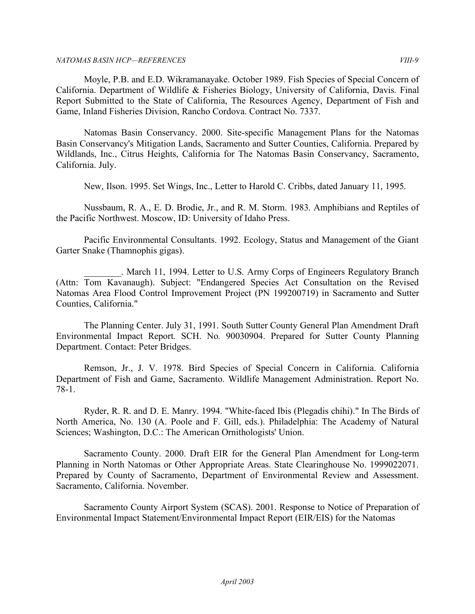Moyle, P.B. and E.D. Wikramanayake. October 1989. Fish Species of Special Concern of California. Department of Wildlife & Fisheries Biology, University of California, Davis. Final Report Submitted to the State of California, The Resources Agency, Department of Fish and Game, Inland Fisheries Division, Rancho Cordova. Contract No. 7337.

 Natomas Basin Conservancy. 2000. Site-specific Management Plans for the Natomas Basin Conservancy's Mitigation Lands, Sacramento and Sutter Counties, California. Prepared by Wildlands, Inc., Citrus Heights, California for The Natomas Basin Conservancy, Sacramento, California. July.

New, Ilson. 1995. Set Wings, Inc., Letter to Harold C. Cribbs, dated January 11, 1995.

 Nussbaum, R. A., E. D. Brodie, Jr., and R. M. Storm. 1983. Amphibians and Reptiles of the Pacific Northwest. Moscow, ID: University of Idaho Press.

 Pacific Environmental Consultants. 1992. Ecology, Status and Management of the Giant Garter Snake (Thamnophis gigas).

 \_\_\_\_\_\_\_\_. March 11, 1994. Letter to U.S. Army Corps of Engineers Regulatory Branch (Attn: Tom Kavanaugh). Subject: "Endangered Species Act Consultation on the Revised Natomas Area Flood Control Improvement Project (PN 199200719) in Sacramento and Sutter Counties, California."

 The Planning Center. July 31, 1991. South Sutter County General Plan Amendment Draft Environmental Impact Report. SCH. No. 90030904. Prepared for Sutter County Planning Department. Contact: Peter Bridges.

 Remson, Jr., J. V. 1978. Bird Species of Special Concern in California. California Department of Fish and Game, Sacramento. Wildlife Management Administration. Report No. 78-1.

 Ryder, R. R. and D. E. Manry. 1994. "White-faced Ibis (Plegadis chihi)." In The Birds of North America, No. 130 (A. Poole and F. Gill, eds.). Philadelphia: The Academy of Natural Sciences; Washington, D.C.: The American Ornithologists' Union.

 Sacramento County. 2000. Draft EIR for the General Plan Amendment for Long-term Planning in North Natomas or Other Appropriate Areas. State Clearinghouse No. 1999022071. Prepared by County of Sacramento, Department of Environmental Review and Assessment. Sacramento, California. November.

 Sacramento County Airport System (SCAS). 2001. Response to Notice of Preparation of Environmental Impact Statement/Environmental Impact Report (EIR/EIS) for the Natomas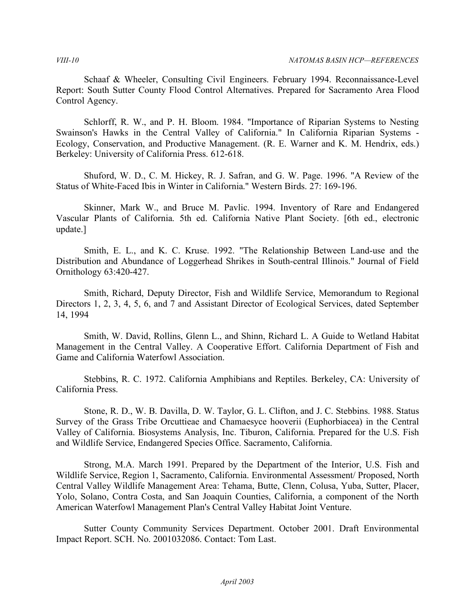Schaaf & Wheeler, Consulting Civil Engineers. February 1994. Reconnaissance-Level Report: South Sutter County Flood Control Alternatives. Prepared for Sacramento Area Flood Control Agency.

 Schlorff, R. W., and P. H. Bloom. 1984. "Importance of Riparian Systems to Nesting Swainson's Hawks in the Central Valley of California." In California Riparian Systems - Ecology, Conservation, and Productive Management. (R. E. Warner and K. M. Hendrix, eds.) Berkeley: University of California Press. 612-618.

 Shuford, W. D., C. M. Hickey, R. J. Safran, and G. W. Page. 1996. "A Review of the Status of White-Faced Ibis in Winter in California." Western Birds. 27: 169-196.

 Skinner, Mark W., and Bruce M. Pavlic. 1994. Inventory of Rare and Endangered Vascular Plants of California. 5th ed. California Native Plant Society. [6th ed., electronic update.]

 Smith, E. L., and K. C. Kruse. 1992. "The Relationship Between Land-use and the Distribution and Abundance of Loggerhead Shrikes in South-central Illinois." Journal of Field Ornithology 63:420-427.

 Smith, Richard, Deputy Director, Fish and Wildlife Service, Memorandum to Regional Directors 1, 2, 3, 4, 5, 6, and 7 and Assistant Director of Ecological Services, dated September 14, 1994

 Smith, W. David, Rollins, Glenn L., and Shinn, Richard L. A Guide to Wetland Habitat Management in the Central Valley. A Cooperative Effort. California Department of Fish and Game and California Waterfowl Association.

 Stebbins, R. C. 1972. California Amphibians and Reptiles. Berkeley, CA: University of California Press.

 Stone, R. D., W. B. Davilla, D. W. Taylor, G. L. Clifton, and J. C. Stebbins. 1988. Status Survey of the Grass Tribe Orcuttieae and Chamaesyce hooverii (Euphorbiacea) in the Central Valley of California. Biosystems Analysis, Inc. Tiburon, California. Prepared for the U.S. Fish and Wildlife Service, Endangered Species Office. Sacramento, California.

 Strong, M.A. March 1991. Prepared by the Department of the Interior, U.S. Fish and Wildlife Service, Region 1, Sacramento, California. Environmental Assessment/ Proposed, North Central Valley Wildlife Management Area: Tehama, Butte, Clenn, Colusa, Yuba, Sutter, Placer, Yolo, Solano, Contra Costa, and San Joaquin Counties, California, a component of the North American Waterfowl Management Plan's Central Valley Habitat Joint Venture.

 Sutter County Community Services Department. October 2001. Draft Environmental Impact Report. SCH. No. 2001032086. Contact: Tom Last.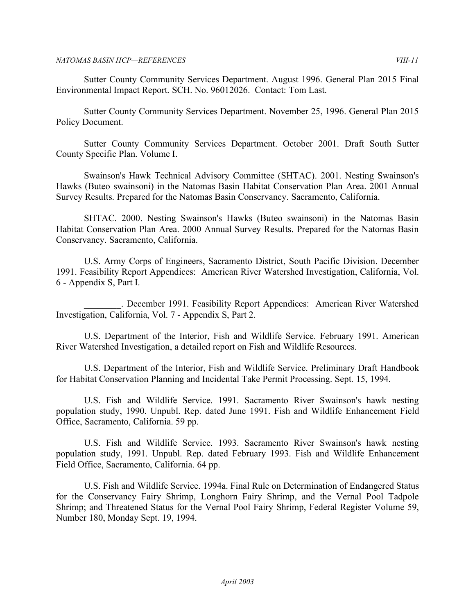Sutter County Community Services Department. August 1996. General Plan 2015 Final Environmental Impact Report. SCH. No. 96012026. Contact: Tom Last.

 Sutter County Community Services Department. November 25, 1996. General Plan 2015 Policy Document.

 Sutter County Community Services Department. October 2001. Draft South Sutter County Specific Plan. Volume I.

 Swainson's Hawk Technical Advisory Committee (SHTAC). 2001. Nesting Swainson's Hawks (Buteo swainsoni) in the Natomas Basin Habitat Conservation Plan Area. 2001 Annual Survey Results. Prepared for the Natomas Basin Conservancy. Sacramento, California.

 SHTAC. 2000. Nesting Swainson's Hawks (Buteo swainsoni) in the Natomas Basin Habitat Conservation Plan Area. 2000 Annual Survey Results. Prepared for the Natomas Basin Conservancy. Sacramento, California.

 U.S. Army Corps of Engineers, Sacramento District, South Pacific Division. December 1991. Feasibility Report Appendices: American River Watershed Investigation, California, Vol. 6 - Appendix S, Part I.

 \_\_\_\_\_\_\_\_. December 1991. Feasibility Report Appendices: American River Watershed Investigation, California, Vol. 7 - Appendix S, Part 2.

 U.S. Department of the Interior, Fish and Wildlife Service. February 1991. American River Watershed Investigation, a detailed report on Fish and Wildlife Resources.

 U.S. Department of the Interior, Fish and Wildlife Service. Preliminary Draft Handbook for Habitat Conservation Planning and Incidental Take Permit Processing. Sept. 15, 1994.

 U.S. Fish and Wildlife Service. 1991. Sacramento River Swainson's hawk nesting population study, 1990. Unpubl. Rep. dated June 1991. Fish and Wildlife Enhancement Field Office, Sacramento, California. 59 pp.

 U.S. Fish and Wildlife Service. 1993. Sacramento River Swainson's hawk nesting population study, 1991. Unpubl. Rep. dated February 1993. Fish and Wildlife Enhancement Field Office, Sacramento, California. 64 pp.

 U.S. Fish and Wildlife Service. 1994a. Final Rule on Determination of Endangered Status for the Conservancy Fairy Shrimp, Longhorn Fairy Shrimp, and the Vernal Pool Tadpole Shrimp; and Threatened Status for the Vernal Pool Fairy Shrimp, Federal Register Volume 59, Number 180, Monday Sept. 19, 1994.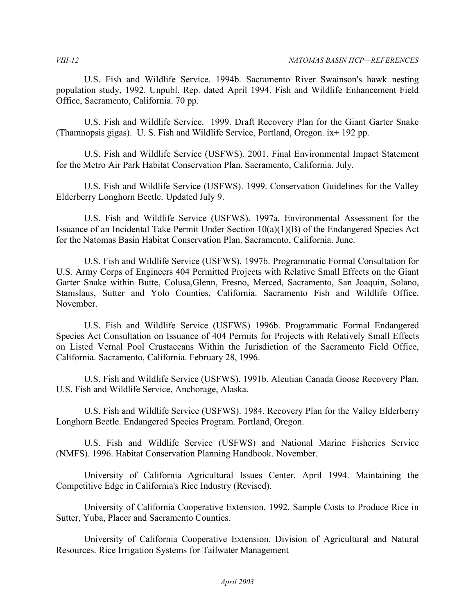U.S. Fish and Wildlife Service. 1994b. Sacramento River Swainson's hawk nesting population study, 1992. Unpubl. Rep. dated April 1994. Fish and Wildlife Enhancement Field Office, Sacramento, California. 70 pp.

 U.S. Fish and Wildlife Service. 1999. Draft Recovery Plan for the Giant Garter Snake (Thamnopsis gigas). U. S. Fish and Wildlife Service, Portland, Oregon. ix+ 192 pp.

 U.S. Fish and Wildlife Service (USFWS). 2001. Final Environmental Impact Statement for the Metro Air Park Habitat Conservation Plan. Sacramento, California. July.

 U.S. Fish and Wildlife Service (USFWS). 1999. Conservation Guidelines for the Valley Elderberry Longhorn Beetle. Updated July 9.

 U.S. Fish and Wildlife Service (USFWS). 1997a. Environmental Assessment for the Issuance of an Incidental Take Permit Under Section 10(a)(1)(B) of the Endangered Species Act for the Natomas Basin Habitat Conservation Plan. Sacramento, California. June.

 U.S. Fish and Wildlife Service (USFWS). 1997b. Programmatic Formal Consultation for U.S. Army Corps of Engineers 404 Permitted Projects with Relative Small Effects on the Giant Garter Snake within Butte, Colusa,Glenn, Fresno, Merced, Sacramento, San Joaquin, Solano, Stanislaus, Sutter and Yolo Counties, California. Sacramento Fish and Wildlife Office. November.

 U.S. Fish and Wildlife Service (USFWS) 1996b. Programmatic Formal Endangered Species Act Consultation on Issuance of 404 Permits for Projects with Relatively Small Effects on Listed Vernal Pool Crustaceans Within the Jurisdiction of the Sacramento Field Office, California. Sacramento, California. February 28, 1996.

 U.S. Fish and Wildlife Service (USFWS). 1991b. Aleutian Canada Goose Recovery Plan. U.S. Fish and Wildlife Service, Anchorage, Alaska.

 U.S. Fish and Wildlife Service (USFWS). 1984. Recovery Plan for the Valley Elderberry Longhorn Beetle. Endangered Species Program. Portland, Oregon.

 U.S. Fish and Wildlife Service (USFWS) and National Marine Fisheries Service (NMFS). 1996. Habitat Conservation Planning Handbook. November.

 University of California Agricultural Issues Center. April 1994. Maintaining the Competitive Edge in California's Rice Industry (Revised).

 University of California Cooperative Extension. 1992. Sample Costs to Produce Rice in Sutter, Yuba, Placer and Sacramento Counties.

 University of California Cooperative Extension. Division of Agricultural and Natural Resources. Rice Irrigation Systems for Tailwater Management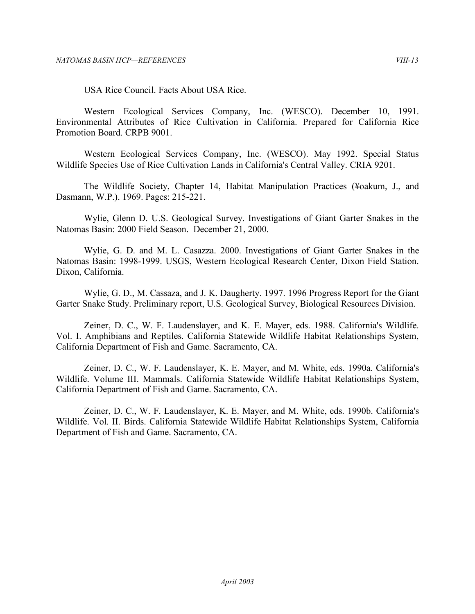USA Rice Council. Facts About USA Rice.

 Western Ecological Services Company, Inc. (WESCO). December 10, 1991. Environmental Attributes of Rice Cultivation in California. Prepared for California Rice Promotion Board. CRPB 9001.

 Western Ecological Services Company, Inc. (WESCO). May 1992. Special Status Wildlife Species Use of Rice Cultivation Lands in California's Central Valley. CRIA 9201.

 The Wildlife Society, Chapter 14, Habitat Manipulation Practices (¥oakum, J., and Dasmann, W.P.). 1969. Pages: 215-221.

 Wylie, Glenn D. U.S. Geological Survey. Investigations of Giant Garter Snakes in the Natomas Basin: 2000 Field Season. December 21, 2000.

 Wylie, G. D. and M. L. Casazza. 2000. Investigations of Giant Garter Snakes in the Natomas Basin: 1998-1999. USGS, Western Ecological Research Center, Dixon Field Station. Dixon, California.

 Wylie, G. D., M. Cassaza, and J. K. Daugherty. 1997. 1996 Progress Report for the Giant Garter Snake Study. Preliminary report, U.S. Geological Survey, Biological Resources Division.

 Zeiner, D. C., W. F. Laudenslayer, and K. E. Mayer, eds. 1988. California's Wildlife. Vol. I. Amphibians and Reptiles. California Statewide Wildlife Habitat Relationships System, California Department of Fish and Game. Sacramento, CA.

 Zeiner, D. C., W. F. Laudenslayer, K. E. Mayer, and M. White, eds. 1990a. California's Wildlife. Volume III. Mammals. California Statewide Wildlife Habitat Relationships System, California Department of Fish and Game. Sacramento, CA.

 Zeiner, D. C., W. F. Laudenslayer, K. E. Mayer, and M. White, eds. 1990b. California's Wildlife. Vol. II. Birds. California Statewide Wildlife Habitat Relationships System, California Department of Fish and Game. Sacramento, CA.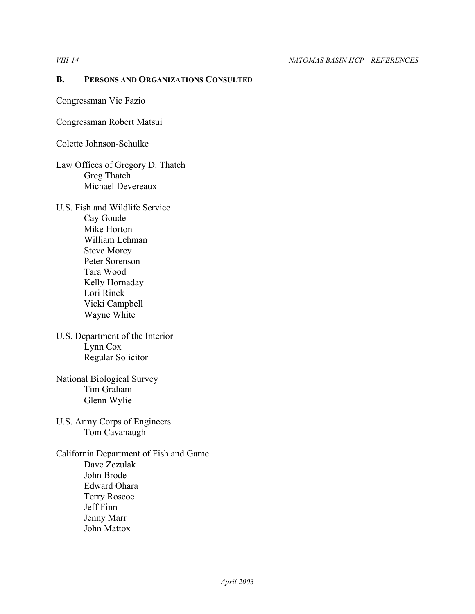#### **B. PERSONS AND ORGANIZATIONS CONSULTED**

Congressman Vic Fazio

Congressman Robert Matsui

Colette Johnson-Schulke

- Law Offices of Gregory D. Thatch Greg Thatch Michael Devereaux
- U.S. Fish and Wildlife Service Cay Goude Mike Horton William Lehman Steve Morey Peter Sorenson Tara Wood Kelly Hornaday Lori Rinek Vicki Campbell Wayne White
- U.S. Department of the Interior Lynn Cox Regular Solicitor
- National Biological Survey Tim Graham Glenn Wylie
- U.S. Army Corps of Engineers Tom Cavanaugh

 California Department of Fish and Game Dave Zezulak John Brode Edward Ohara Terry Roscoe Jeff Finn Jenny Marr John Mattox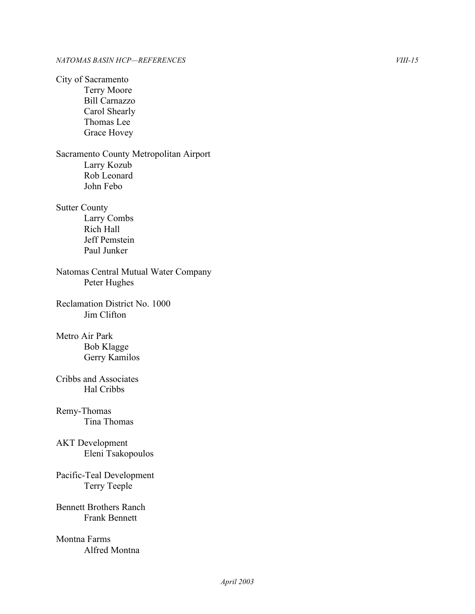Natomas Central Mutual Water Company Reclamation District No. 1000 Bennett Brothers Ranch City of Sacramento Terry Moore Bill Carnazzo Carol Shearly Thomas Lee Grace Hovey Sacramento County Metropolitan Airport Larry Kozub Rob Leonard John Febo Sutter County Larry Combs Rich Hall Jeff Pemstein Paul Junker Peter Hughes Jim Clifton Metro Air Park Bob Klagge Gerry Kamilos Cribbs and Associates Hal Cribbs Remy-Thomas Tina Thomas AKT Development Eleni Tsakopoulos Pacific-Teal Development Terry Teeple Frank Bennett Montna Farms Alfred Montna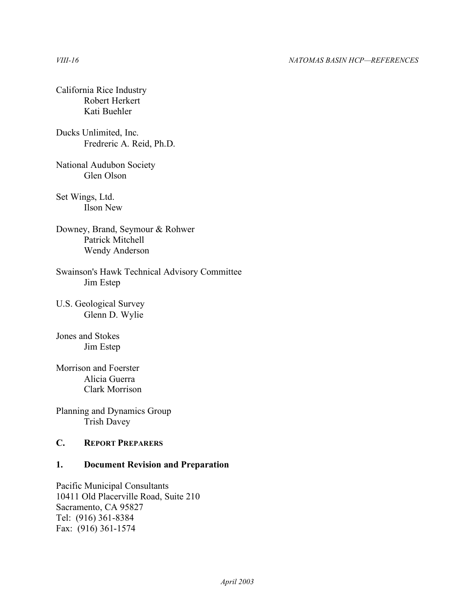#### *VIII-16 NATOMAS BASIN HCP—REFERENCES*

### California Rice Industry Robert Herkert Kati Buehler

### Ducks Unlimited, Inc. Fredreric A. Reid, Ph.D.

National Audubon Society Glen Olson

 Set Wings, Ltd. Ilson New

 Downey, Brand, Seymour & Rohwer Patrick Mitchell Wendy Anderson

Swainson's Hawk Technical Advisory Committee Jim Estep

 U.S. Geological Survey Glenn D. Wylie

Jones and Stokes Jim Estep

Morrison and Foerster Alicia Guerra Clark Morrison

Planning and Dynamics Group Trish Davey

### **C. REPORT PREPARERS**

### **1. Document Revision and Preparation**

Pacific Municipal Consultants 10411 Old Placerville Road, Suite 210 Sacramento, CA 95827 Tel: (916) 361-8384 Fax: (916) 361-1574